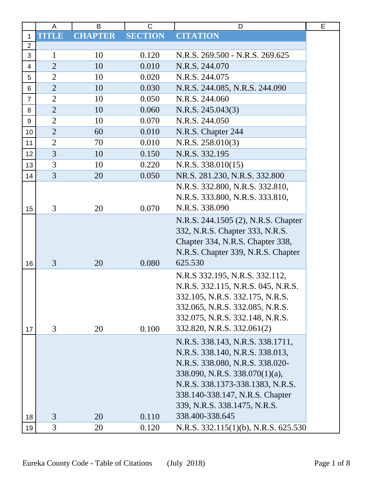|                         | A              | B              | C              | D                                                                                                                                                                                                                                               | Е |
|-------------------------|----------------|----------------|----------------|-------------------------------------------------------------------------------------------------------------------------------------------------------------------------------------------------------------------------------------------------|---|
| 1                       | <b>TITLE</b>   | <b>CHAPTER</b> | <b>SECTION</b> | <b>CITATION</b>                                                                                                                                                                                                                                 |   |
| $\overline{2}$          |                |                |                |                                                                                                                                                                                                                                                 |   |
| 3                       | 1              | 10             | 0.120          | N.R.S. 269.500 - N.R.S. 269.625                                                                                                                                                                                                                 |   |
| $\overline{\mathbf{4}}$ | $\overline{2}$ | 10             | 0.010          | N.R.S. 244.070                                                                                                                                                                                                                                  |   |
| 5                       | $\overline{2}$ | 10             | 0.020          | N.R.S. 244.075                                                                                                                                                                                                                                  |   |
| 6                       | $\overline{2}$ | 10             | 0.030          | N.R.S. 244.085, N.R.S. 244.090                                                                                                                                                                                                                  |   |
| $\overline{7}$          | $\overline{2}$ | 10             | 0.050          | N.R.S. 244.060                                                                                                                                                                                                                                  |   |
| 8                       | $\overline{2}$ | 10             | 0.060          | N.R.S. 245.043(3)                                                                                                                                                                                                                               |   |
| 9                       | $\overline{2}$ | 10             | 0.070          | N.R.S. 244.050                                                                                                                                                                                                                                  |   |
| 10                      | $\overline{2}$ | 60             | 0.010          | N.R.S. Chapter 244                                                                                                                                                                                                                              |   |
| 11                      | $\overline{2}$ | 70             | 0.010          | N.R.S. 258.010(3)                                                                                                                                                                                                                               |   |
| 12                      | $\overline{3}$ | 10             | 0.150          | N.R.S. 332.195                                                                                                                                                                                                                                  |   |
| 13                      | 3              | 10             | 0.220          | N.R.S. 338.010(15)                                                                                                                                                                                                                              |   |
| 14                      | $\overline{3}$ | 20             | 0.050          | NR.S. 281.230, N.R.S. 332.800                                                                                                                                                                                                                   |   |
|                         |                |                |                | N.R.S. 332.800, N.R.S. 332.810,                                                                                                                                                                                                                 |   |
|                         |                |                |                | N.R.S. 333.800, N.R.S. 333.810,                                                                                                                                                                                                                 |   |
| 15                      | 3              | 20             | 0.070          | N.R.S. 338.090                                                                                                                                                                                                                                  |   |
|                         |                |                |                | N.R.S. 244.1505 (2), N.R.S. Chapter<br>332, N.R.S. Chapter 333, N.R.S.<br>Chapter 334, N.R.S. Chapter 338,<br>N.R.S. Chapter 339, N.R.S. Chapter                                                                                                |   |
| 16                      | 3              | 20             | 0.080          | 625.530                                                                                                                                                                                                                                         |   |
| 17                      | 3              | 20             | 0.100          | N.R.S 332.195, N.R.S. 332.112,<br>N.R.S. 332.115, N.R.S. 045, N.R.S.<br>332.105, N.R.S. 332.175, N.R.S.<br>332.065, N.R.S. 332.085, N.R.S.<br>332.075, N.R.S. 332.148, N.R.S.<br>332.820, N.R.S. 332.061(2)                                     |   |
|                         |                |                |                | N.R.S. 338.143, N.R.S. 338.1711,<br>N.R.S. 338.140, N.R.S. 338.013,<br>N.R.S. 338.080, N.R.S. 338.020-<br>338.090, N.R.S. 338.070(1)(a),<br>N.R.S. 338.1373-338.1383, N.R.S.<br>338.140-338.147, N.R.S. Chapter<br>339, N.R.S. 338.1475, N.R.S. |   |
| 18                      | 3              | 20             | 0.110          | 338.400-338.645                                                                                                                                                                                                                                 |   |
| 19                      | 3              | 20             | 0.120          | N.R.S. $332.115(1)(b)$ , N.R.S. $625.530$                                                                                                                                                                                                       |   |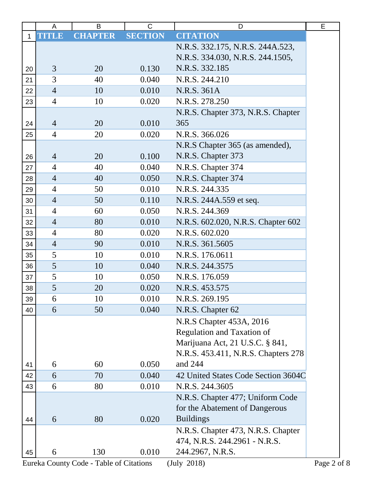|              | A              | B              | C              | D                                   | E |
|--------------|----------------|----------------|----------------|-------------------------------------|---|
| $\mathbf{1}$ | <b>TITLE</b>   | <b>CHAPTER</b> | <b>SECTION</b> | <b>CITATION</b>                     |   |
|              |                |                |                | N.R.S. 332.175, N.R.S. 244A.523,    |   |
|              |                |                |                | N.R.S. 334.030, N.R.S. 244.1505,    |   |
| 20           | 3              | 20             | 0.130          | N.R.S. 332.185                      |   |
| 21           | 3              | 40             | 0.040          | N.R.S. 244.210                      |   |
| 22           | $\overline{4}$ | 10             | 0.010          | N.R.S. 361A                         |   |
| 23           | $\overline{4}$ | 10             | 0.020          | N.R.S. 278.250                      |   |
|              |                |                |                | N.R.S. Chapter 373, N.R.S. Chapter  |   |
| 24           | $\overline{4}$ | 20             | 0.010          | 365                                 |   |
| 25           | $\overline{4}$ | 20             | 0.020          | N.R.S. 366.026                      |   |
|              |                |                |                | N.R.S Chapter 365 (as amended),     |   |
| 26           | $\overline{4}$ | 20             | 0.100          | N.R.S. Chapter 373                  |   |
| 27           | $\overline{4}$ | 40             | 0.040          | N.R.S. Chapter 374                  |   |
| 28           | $\overline{4}$ | 40             | 0.050          | N.R.S. Chapter 374                  |   |
| 29           | $\overline{4}$ | 50             | 0.010          | N.R.S. 244.335                      |   |
| 30           | $\overline{4}$ | 50             | 0.110          | N.R.S. 244A.559 et seq.             |   |
| 31           | $\overline{4}$ | 60             | 0.050          | N.R.S. 244.369                      |   |
| 32           | $\overline{4}$ | 80             | 0.010          | N.R.S. 602.020, N.R.S. Chapter 602  |   |
| 33           | $\overline{4}$ | 80             | 0.020          | N.R.S. 602.020                      |   |
| 34           | $\overline{4}$ | 90             | 0.010          | N.R.S. 361.5605                     |   |
| 35           | 5              | 10             | 0.010          | N.R.S. 176.0611                     |   |
| 36           | 5              | 10             | 0.040          | N.R.S. 244.3575                     |   |
| 37           | 5              | 10             | 0.050          | N.R.S. 176.059                      |   |
| 38           | 5              | 20             | 0.020          | N.R.S. 453.575                      |   |
| 39           | 6              | 10             | 0.010          | N.R.S. 269.195                      |   |
| 40           | 6              | 50             | 0.040          | N.R.S. Chapter 62                   |   |
|              |                |                |                | N.R.S Chapter 453A, 2016            |   |
|              |                |                |                | <b>Regulation and Taxation of</b>   |   |
|              |                |                |                | Marijuana Act, 21 U.S.C. § 841,     |   |
|              |                |                |                | N.R.S. 453.411, N.R.S. Chapters 278 |   |
| 41           | 6              | 60             | 0.050          | and 244                             |   |
| 42           | 6              | 70             | 0.040          | 42 United States Code Section 3604C |   |
| 43           | 6              | 80             | 0.010          | N.R.S. 244.3605                     |   |
|              |                |                |                | N.R.S. Chapter 477; Uniform Code    |   |
|              |                |                |                | for the Abatement of Dangerous      |   |
| 44           | 6              | 80             | 0.020          | <b>Buildings</b>                    |   |
|              |                |                |                | N.R.S. Chapter 473, N.R.S. Chapter  |   |
|              |                |                |                | 474, N.R.S. 244.2961 - N.R.S.       |   |
| 45           | 6              | 130            | 0.010          | 244.2967, N.R.S.                    |   |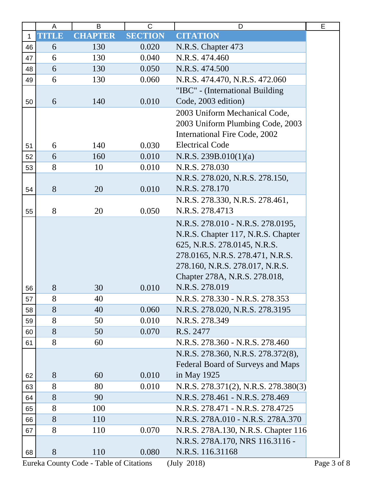|              | A            | B              | $\mathsf{C}$   | D                                                                                                                                                                                                               | Е |
|--------------|--------------|----------------|----------------|-----------------------------------------------------------------------------------------------------------------------------------------------------------------------------------------------------------------|---|
| $\mathbf{1}$ | <b>TITLE</b> | <b>CHAPTER</b> | <b>SECTION</b> | <b>CITATION</b>                                                                                                                                                                                                 |   |
| 46           | 6            | 130            | 0.020          | N.R.S. Chapter 473                                                                                                                                                                                              |   |
| 47           | 6            | 130            | 0.040          | N.R.S. 474.460                                                                                                                                                                                                  |   |
| 48           | 6            | 130            | 0.050          | N.R.S. 474.500                                                                                                                                                                                                  |   |
| 49           | 6            | 130            | 0.060          | N.R.S. 474.470, N.R.S. 472.060                                                                                                                                                                                  |   |
|              |              |                |                | "IBC" - (International Building                                                                                                                                                                                 |   |
| 50           | 6            | 140            | 0.010          | Code, 2003 edition)                                                                                                                                                                                             |   |
| 51           | 6            | 140            | 0.030          | 2003 Uniform Mechanical Code,<br>2003 Uniform Plumbing Code, 2003<br><b>International Fire Code, 2002</b><br><b>Electrical Code</b>                                                                             |   |
| 52           | 6            | 160            | 0.010          | N.R.S. 239B.010(1)(a)                                                                                                                                                                                           |   |
| 53           | 8            | 10             | 0.010          | N.R.S. 278.030                                                                                                                                                                                                  |   |
|              |              |                |                | N.R.S. 278.020, N.R.S. 278.150,                                                                                                                                                                                 |   |
| 54           | 8            | 20             | 0.010          | N.R.S. 278.170                                                                                                                                                                                                  |   |
|              |              |                |                | N.R.S. 278.330, N.R.S. 278.461,                                                                                                                                                                                 |   |
| 55           | 8            | 20             | 0.050          | N.R.S. 278.4713                                                                                                                                                                                                 |   |
|              |              |                |                | N.R.S. 278.010 - N.R.S. 278.0195,<br>N.R.S. Chapter 117, N.R.S. Chapter<br>625, N.R.S. 278.0145, N.R.S.<br>278.0165, N.R.S. 278.471, N.R.S.<br>278.160, N.R.S. 278.017, N.R.S.<br>Chapter 278A, N.R.S. 278.018, |   |
| 56           | 8            | 30             | 0.010          | N.R.S. 278.019                                                                                                                                                                                                  |   |
| 57           | 8            | 40             |                | N.R.S. 278.330 - N.R.S. 278.353                                                                                                                                                                                 |   |
| 58           | 8            | 40             | 0.060          | N.R.S. 278.020, N.R.S. 278.3195                                                                                                                                                                                 |   |
| 59           | 8            | 50             | 0.010          | N.R.S. 278.349                                                                                                                                                                                                  |   |
| 60           | 8            | 50             | 0.070          | R.S. 2477                                                                                                                                                                                                       |   |
| 61           | 8            | 60             |                | N.R.S. 278.360 - N.R.S. 278.460                                                                                                                                                                                 |   |
|              |              |                |                | N.R.S. 278.360, N.R.S. 278.372(8),<br>Federal Board of Surveys and Maps                                                                                                                                         |   |
| 62           | 8            | 60             | 0.010          | in May 1925                                                                                                                                                                                                     |   |
| 63           | 8<br>8       | 80             | 0.010          | N.R.S. 278.371(2), N.R.S. 278.380(3)                                                                                                                                                                            |   |
| 64           |              | 90             |                | N.R.S. 278.461 - N.R.S. 278.469                                                                                                                                                                                 |   |
| 65           | 8<br>8       | 100            |                | N.R.S. 278.471 - N.R.S. 278.4725                                                                                                                                                                                |   |
| 66           | 8            | 110            |                | N.R.S. 278A.010 - N.R.S. 278A.370                                                                                                                                                                               |   |
| 67           |              | 110            | 0.070          | N.R.S. 278A.130, N.R.S. Chapter 116                                                                                                                                                                             |   |
| 68           | 8            | 110            | 0.080          | N.R.S. 278A.170, NRS 116.3116 -<br>N.R.S. 116.31168                                                                                                                                                             |   |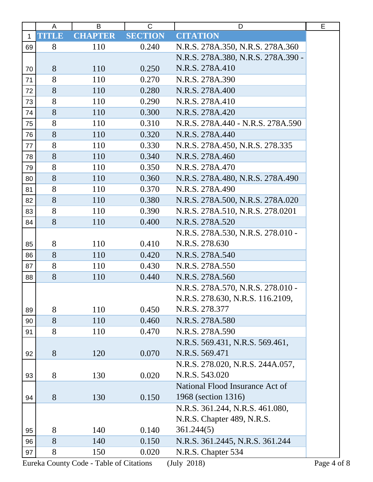|    | A            | B              | C              | D                                  | E |
|----|--------------|----------------|----------------|------------------------------------|---|
| 1  | <b>TITLE</b> | <b>CHAPTER</b> | <b>SECTION</b> | <b>CITATION</b>                    |   |
| 69 | 8            | 110            | 0.240          | N.R.S. 278A.350, N.R.S. 278A.360   |   |
|    |              |                |                | N.R.S. 278A.380, N.R.S. 278A.390 - |   |
| 70 | 8            | 110            | 0.250          | N.R.S. 278A.410                    |   |
| 71 | 8            | 110            | 0.270          | N.R.S. 278A.390                    |   |
| 72 | 8            | 110            | 0.280          | N.R.S. 278A.400                    |   |
| 73 | 8            | 110            | 0.290          | N.R.S. 278A.410                    |   |
| 74 | 8            | 110            | 0.300          | N.R.S. 278A.420                    |   |
| 75 | 8            | 110            | 0.310          | N.R.S. 278A.440 - N.R.S. 278A.590  |   |
| 76 | 8            | 110            | 0.320          | N.R.S. 278A.440                    |   |
| 77 | 8            | 110            | 0.330          | N.R.S. 278A.450, N.R.S. 278.335    |   |
| 78 | 8            | 110            | 0.340          | N.R.S. 278A.460                    |   |
| 79 | 8            | 110            | 0.350          | N.R.S. 278A.470                    |   |
| 80 | 8            | 110            | 0.360          | N.R.S. 278A.480, N.R.S. 278A.490   |   |
| 81 | 8            | 110            | 0.370          | N.R.S. 278A.490                    |   |
| 82 | 8            | 110            | 0.380          | N.R.S. 278A.500, N.R.S. 278A.020   |   |
| 83 | 8            | 110            | 0.390          | N.R.S. 278A.510, N.R.S. 278.0201   |   |
| 84 | 8            | 110            | 0.400          | N.R.S. 278A.520                    |   |
|    |              |                |                | N.R.S. 278A.530, N.R.S. 278.010 -  |   |
| 85 | 8            | 110            | 0.410          | N.R.S. 278.630                     |   |
| 86 | 8            | 110            | 0.420          | N.R.S. 278A.540                    |   |
| 87 | 8            | 110            | 0.430          | N.R.S. 278A.550                    |   |
| 88 | 8            | 110            | 0.440          | N.R.S. 278A.560                    |   |
|    |              |                |                | N.R.S. 278A.570, N.R.S. 278.010 -  |   |
|    |              |                |                | N.R.S. 278.630, N.R.S. 116.2109,   |   |
| 89 | 8            | 110            | 0.450          | N.R.S. 278.377                     |   |
| 90 | 8            | 110            | 0.460          | N.R.S. 278A.580                    |   |
| 91 | 8            | 110            | 0.470          | N.R.S. 278A.590                    |   |
|    |              |                |                | N.R.S. 569.431, N.R.S. 569.461,    |   |
| 92 | 8            | 120            | 0.070          | N.R.S. 569.471                     |   |
|    |              |                |                | N.R.S. 278.020, N.R.S. 244A.057,   |   |
| 93 | 8            | 130            | 0.020          | N.R.S. 543.020                     |   |
|    |              |                |                | National Flood Insurance Act of    |   |
| 94 | 8            | 130            | 0.150          | 1968 (section 1316)                |   |
|    |              |                |                | N.R.S. 361.244, N.R.S. 461.080,    |   |
|    |              |                |                | N.R.S. Chapter 489, N.R.S.         |   |
| 95 | 8            | 140            | 0.140          | 361.244(5)                         |   |
| 96 | 8            | 140            | 0.150          | N.R.S. 361.2445, N.R.S. 361.244    |   |
| 97 | 8            | 150            | 0.020          | N.R.S. Chapter 534                 |   |
|    |              |                |                |                                    |   |

Eureka County Code - Table of Citations (July 2018) Page 4 of 8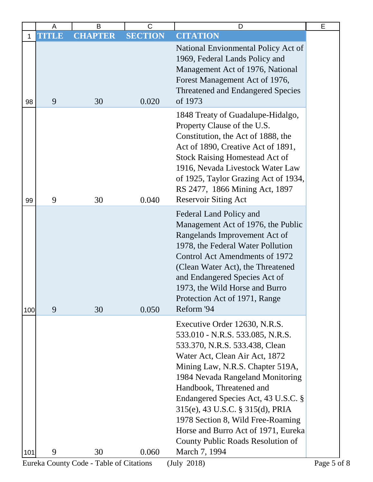|     | A     | B              | C              | D                                                                                                                                                                                                                                                                                                                                                                                                                                                      | E |
|-----|-------|----------------|----------------|--------------------------------------------------------------------------------------------------------------------------------------------------------------------------------------------------------------------------------------------------------------------------------------------------------------------------------------------------------------------------------------------------------------------------------------------------------|---|
| 1   | TITLE | <b>CHAPTER</b> | <b>SECTION</b> | <b>CITATION</b>                                                                                                                                                                                                                                                                                                                                                                                                                                        |   |
| 98  | 9     | 30             | 0.020          | National Envionmental Policy Act of<br>1969, Federal Lands Policy and<br>Management Act of 1976, National<br>Forest Management Act of 1976,<br><b>Threatened and Endangered Species</b><br>of 1973                                                                                                                                                                                                                                                     |   |
| 99  | 9     | 30             | 0.040          | 1848 Treaty of Guadalupe-Hidalgo,<br>Property Clause of the U.S.<br>Constitution, the Act of 1888, the<br>Act of 1890, Creative Act of 1891,<br><b>Stock Raising Homestead Act of</b><br>1916, Nevada Livestock Water Law<br>of 1925, Taylor Grazing Act of 1934,<br>RS 2477, 1866 Mining Act, 1897<br><b>Reservoir Siting Act</b>                                                                                                                     |   |
| 100 | 9     | 30             | 0.050          | Federal Land Policy and<br>Management Act of 1976, the Public<br>Rangelands Improvement Act of<br>1978, the Federal Water Pollution<br>Control Act Amendments of 1972<br>(Clean Water Act), the Threatened<br>and Endangered Species Act of<br>1973, the Wild Horse and Burro<br>Protection Act of 1971, Range<br>Reform '94                                                                                                                           |   |
| 101 | 9     | 30             | 0.060          | Executive Order 12630, N.R.S.<br>533.010 - N.R.S. 533.085, N.R.S.<br>533.370, N.R.S. 533.438, Clean<br>Water Act, Clean Air Act, 1872<br>Mining Law, N.R.S. Chapter 519A,<br>1984 Nevada Rangeland Monitoring<br>Handbook, Threatened and<br>Endangered Species Act, 43 U.S.C. §<br>315(e), 43 U.S.C. § 315(d), PRIA<br>1978 Section 8, Wild Free-Roaming<br>Horse and Burro Act of 1971, Eureka<br>County Public Roads Resolution of<br>March 7, 1994 |   |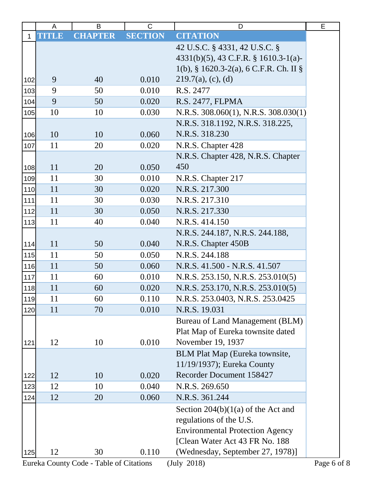|              | A            | B              | $\mathsf C$    | D                                       | E |
|--------------|--------------|----------------|----------------|-----------------------------------------|---|
| $\mathbf{1}$ | <b>TITLE</b> | <b>CHAPTER</b> | <b>SECTION</b> | <b>CITATION</b>                         |   |
|              |              |                |                | 42 U.S.C. § 4331, 42 U.S.C. §           |   |
|              |              |                |                | $4331(b)(5)$ , 43 C.F.R. § 1610.3-1(a)- |   |
|              |              |                |                | 1(b), § 1620.3-2(a), 6 C.F.R. Ch. II §  |   |
| 102          | 9            | 40             | 0.010          | $219.7(a)$ , (c), (d)                   |   |
| 103          | 9            | 50             | 0.010          | R.S. 2477                               |   |
| 104          | 9            | 50             | 0.020          | R.S. 2477, FLPMA                        |   |
| 105          | 10           | 10             | 0.030          | N.R.S. 308.060(1), N.R.S. 308.030(1)    |   |
|              |              |                |                | N.R.S. 318.1192, N.R.S. 318.225,        |   |
| 106          | 10           | 10             | 0.060          | N.R.S. 318.230                          |   |
| 107          | 11           | 20             | 0.020          | N.R.S. Chapter 428                      |   |
|              |              |                |                | N.R.S. Chapter 428, N.R.S. Chapter      |   |
| 108          | 11           | 20             | 0.050          | 450                                     |   |
| 109          | 11           | 30             | 0.010          | N.R.S. Chapter 217                      |   |
| 110          | 11           | 30             | 0.020          | N.R.S. 217.300                          |   |
| 111          | 11           | 30             | 0.030          | N.R.S. 217.310                          |   |
| 112          | 11           | 30             | 0.050          | N.R.S. 217.330                          |   |
| 113          | 11           | 40             | 0.040          | N.R.S. 414.150                          |   |
|              |              |                |                | N.R.S. 244.187, N.R.S. 244.188,         |   |
| 114          | 11           | 50             | 0.040          | N.R.S. Chapter 450B                     |   |
| 115          | 11           | 50             | 0.050          | N.R.S. 244.188                          |   |
| 116          | 11           | 50             | 0.060          | N.R.S. 41.500 - N.R.S. 41.507           |   |
| 117          | 11           | 60             | 0.010          | N.R.S. 253.150, N.R.S. 253.010(5)       |   |
| 118          | 11           | 60             | 0.020          | N.R.S. 253.170, N.R.S. 253.010(5)       |   |
| 119          | 11           | 60             | 0.110          | N.R.S. 253.0403, N.R.S. 253.0425        |   |
| 120          | 11           | 70             | 0.010          | N.R.S. 19.031                           |   |
|              |              |                |                | Bureau of Land Management (BLM)         |   |
|              |              |                |                | Plat Map of Eureka townsite dated       |   |
| 121          | 12           | 10             | 0.010          | November 19, 1937                       |   |
|              |              |                |                | BLM Plat Map (Eureka townsite,          |   |
|              |              |                |                | 11/19/1937); Eureka County              |   |
| 122          | 12           | 10             | 0.020          | Recorder Document 158427                |   |
| 123          | 12           | 10             | 0.040          | N.R.S. 269.650                          |   |
| 124          | 12           | 20             | 0.060          | N.R.S. 361.244                          |   |
|              |              |                |                | Section $204(b)(1(a)$ of the Act and    |   |
|              |              |                |                | regulations of the U.S.                 |   |
|              |              |                |                | <b>Environmental Protection Agency</b>  |   |
|              |              |                |                | [Clean Water Act 43 FR No. 188]         |   |
| 125          | 12           | 30             | 0.110          | (Wednesday, September 27, 1978)]        |   |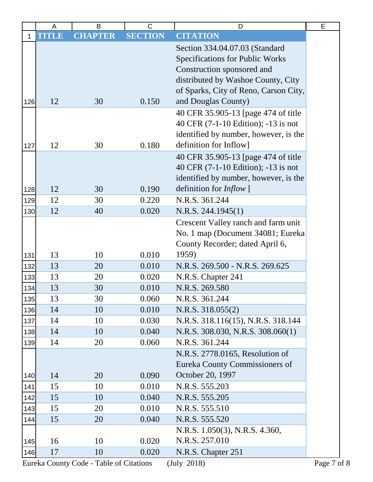| <b>CITATION</b><br><b>SECTION</b><br><b>CHAPTER</b><br>TITLE<br>1<br>Section 334.04.07.03 (Standard |  |
|-----------------------------------------------------------------------------------------------------|--|
|                                                                                                     |  |
|                                                                                                     |  |
| <b>Specifications for Public Works</b>                                                              |  |
| Construction sponsored and                                                                          |  |
| distributed by Washoe County, City                                                                  |  |
| of Sparks, City of Reno, Carson City,                                                               |  |
| and Douglas County)<br>12<br>0.150<br>30<br>126                                                     |  |
| 40 CFR 35.905-13 [page 474 of title                                                                 |  |
| 40 CFR (7-1-10 Edition); -13 is not                                                                 |  |
| identified by number, however, is the                                                               |  |
| definition for Inflow]<br>12<br>0.180<br>30<br>127                                                  |  |
| 40 CFR 35.905-13 [page 474 of title                                                                 |  |
| 40 CFR (7-1-10 Edition); -13 is not                                                                 |  |
| identified by number, however, is the                                                               |  |
| definition for <i>Inflow</i> ]<br>12<br>30<br>0.190<br>128                                          |  |
| N.R.S. 361.244<br>0.220<br>12<br>30<br>129                                                          |  |
| 0.020<br>12<br>40<br>N.R.S. 244.1945(1)<br>130                                                      |  |
| Crescent Valley ranch and farm unit                                                                 |  |
| No. 1 map (Document 34081; Eureka                                                                   |  |
| County Recorder; dated April 6,                                                                     |  |
| 0.010<br>13<br>1959)<br>10<br>131                                                                   |  |
| 13<br>0.010<br>20<br>N.R.S. 269.500 - N.R.S. 269.625<br>132                                         |  |
| 0.020<br>13<br>20<br>N.R.S. Chapter 241<br>133                                                      |  |
| N.R.S. 269.580<br>13<br>0.010<br>30<br>134                                                          |  |
| 13<br>N.R.S. 361.244<br>30<br>0.060<br>135                                                          |  |
| 0.010<br>14<br>10<br>N.R.S. 318.055(2)<br>136                                                       |  |
| 0.030<br>N.R.S. 318.116(15), N.R.S. 318.144<br>14<br>10<br>137                                      |  |
| 14<br>10<br>0.040<br>N.R.S. 308.030, N.R.S. 308.060(1)<br>138                                       |  |
| 14<br>20<br>0.060<br>N.R.S. 361.244<br>139                                                          |  |
| N.R.S. 2778.0165, Resolution of                                                                     |  |
| Eureka County Commissioners of                                                                      |  |
| October 20, 1997<br>0.090<br>14<br>20<br>140                                                        |  |
| 0.010<br>N.R.S. 555.203<br>15<br>10<br>141                                                          |  |
| 15<br>0.040<br>N.R.S. 555.205<br>10<br>142                                                          |  |
| 0.010<br>15<br>20<br>N.R.S. 555.510<br>143                                                          |  |
| 0.040<br>15<br>20<br>N.R.S. 555.520<br>144                                                          |  |
| N.R.S. 1.050(3), N.R.S. 4.360,                                                                      |  |
| N.R.S. 257.010<br>16<br>0.020<br>10<br>145                                                          |  |
| 17<br>10<br>0.020<br>N.R.S. Chapter 251<br>146                                                      |  |